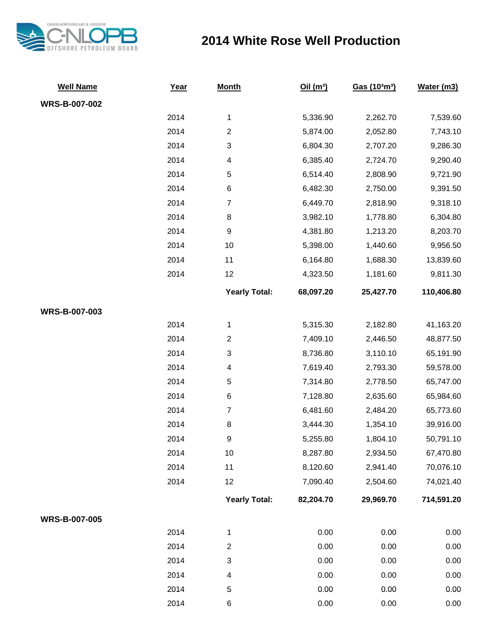

## **2014 White Rose Well Production**

| <b>Well Name</b>     | Year | <b>Month</b>         | Oil(m <sup>3</sup> ) | Gas (103m3) | Water (m3) |
|----------------------|------|----------------------|----------------------|-------------|------------|
| <b>WRS-B-007-002</b> |      |                      |                      |             |            |
|                      | 2014 | $\mathbf 1$          | 5,336.90             | 2,262.70    | 7,539.60   |
|                      | 2014 | $\overline{c}$       | 5,874.00             | 2,052.80    | 7,743.10   |
|                      | 2014 | $\sqrt{3}$           | 6,804.30             | 2,707.20    | 9,286.30   |
|                      | 2014 | 4                    | 6,385.40             | 2,724.70    | 9,290.40   |
|                      | 2014 | $\mathbf 5$          | 6,514.40             | 2,808.90    | 9,721.90   |
|                      | 2014 | $\,6$                | 6,482.30             | 2,750.00    | 9,391.50   |
|                      | 2014 | $\overline{7}$       | 6,449.70             | 2,818.90    | 9,318.10   |
|                      | 2014 | $\,8\,$              | 3,982.10             | 1,778.80    | 6,304.80   |
|                      | 2014 | $\boldsymbol{9}$     | 4,381.80             | 1,213.20    | 8,203.70   |
|                      | 2014 | 10                   | 5,398.00             | 1,440.60    | 9,956.50   |
|                      | 2014 | 11                   | 6,164.80             | 1,688.30    | 13,839.60  |
|                      | 2014 | 12                   | 4,323.50             | 1,181.60    | 9,811.30   |
|                      |      | <b>Yearly Total:</b> | 68,097.20            | 25,427.70   | 110,406.80 |
| WRS-B-007-003        |      |                      |                      |             |            |
|                      | 2014 | $\mathbf 1$          | 5,315.30             | 2,182.80    | 41,163.20  |
|                      | 2014 | $\mathbf{2}$         | 7,409.10             | 2,446.50    | 48,877.50  |
|                      | 2014 | $\sqrt{3}$           | 8,736.80             | 3,110.10    | 65,191.90  |
|                      | 2014 | 4                    | 7,619.40             | 2,793.30    | 59,578.00  |
|                      | 2014 | $\mathbf 5$          | 7,314.80             | 2,778.50    | 65,747.00  |
|                      | 2014 | $\,6$                | 7,128.80             | 2,635.60    | 65,984.60  |
|                      | 2014 | $\boldsymbol{7}$     | 6,481.60             | 2,484.20    | 65,773.60  |
|                      | 2014 | $\,8\,$              | 3,444.30             | 1,354.10    | 39,916.00  |
|                      | 2014 | $\boldsymbol{9}$     | 5,255.80             | 1,804.10    | 50,791.10  |
|                      | 2014 | 10                   | 8,287.80             | 2,934.50    | 67,470.80  |
|                      | 2014 | 11                   | 8,120.60             | 2,941.40    | 70,076.10  |
|                      | 2014 | 12                   | 7,090.40             | 2,504.60    | 74,021.40  |
|                      |      | <b>Yearly Total:</b> | 82,204.70            | 29,969.70   | 714,591.20 |
| <b>WRS-B-007-005</b> |      |                      |                      |             |            |
|                      | 2014 | $\mathbf 1$          | 0.00                 | 0.00        | 0.00       |
|                      | 2014 | $\overline{c}$       | 0.00                 | 0.00        | 0.00       |
|                      | 2014 | $\sqrt{3}$           | 0.00                 | 0.00        | 0.00       |
|                      | 2014 | $\overline{4}$       | 0.00                 | 0.00        | 0.00       |
|                      | 2014 | 5                    | 0.00                 | 0.00        | 0.00       |
|                      | 2014 | 6                    | 0.00                 | 0.00        | 0.00       |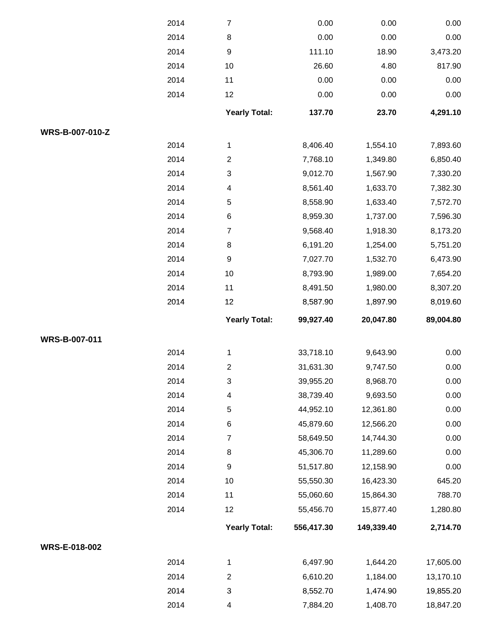|                 | 2014 | $\boldsymbol{7}$     | 0.00       | 0.00       | 0.00                       |
|-----------------|------|----------------------|------------|------------|----------------------------|
|                 | 2014 | 8                    | 0.00       | 0.00       | 0.00                       |
|                 | 2014 | 9                    | 111.10     | 18.90      | 3,473.20                   |
|                 | 2014 | $10$                 | 26.60      | 4.80       | 817.90                     |
|                 | 2014 | 11                   | 0.00       | 0.00       | 0.00                       |
|                 | 2014 | 12                   | 0.00       | 0.00       | 0.00                       |
|                 |      | <b>Yearly Total:</b> | 137.70     | 23.70      | 4,291.10                   |
| WRS-B-007-010-Z |      |                      |            |            |                            |
|                 | 2014 | 1                    | 8,406.40   | 1,554.10   | 7,893.60                   |
|                 | 2014 | $\overline{2}$       | 7,768.10   | 1,349.80   | 6,850.40                   |
|                 | 2014 | $\sqrt{3}$           | 9,012.70   | 1,567.90   | 7,330.20                   |
|                 | 2014 | 4                    | 8,561.40   | 1,633.70   | 7,382.30                   |
|                 | 2014 | 5                    | 8,558.90   | 1,633.40   | 7,572.70                   |
|                 | 2014 | $\,6$                | 8,959.30   | 1,737.00   | 7,596.30                   |
|                 | 2014 | $\overline{7}$       | 9,568.40   | 1,918.30   | 8,173.20                   |
|                 | 2014 | $\,8\,$              | 6,191.20   | 1,254.00   | 5,751.20                   |
|                 | 2014 | 9                    | 7,027.70   | 1,532.70   | 6,473.90                   |
|                 | 2014 | $10$                 | 8,793.90   | 1,989.00   | 7,654.20                   |
|                 | 2014 | 11                   | 8,491.50   | 1,980.00   | 8,307.20                   |
|                 | 2014 | 12                   | 8,587.90   | 1,897.90   | 8,019.60                   |
|                 |      | <b>Yearly Total:</b> | 99,927.40  | 20,047.80  | 89,004.80                  |
| WRS-B-007-011   |      |                      |            |            |                            |
|                 | 2014 | 1                    | 33,718.10  | 9,643.90   | 0.00                       |
|                 |      |                      |            |            |                            |
|                 | 2014 | 2                    | 31,631.30  | 9,747.50   | 0.00                       |
|                 | 2014 | $\sqrt{3}$           | 39,955.20  | 8,968.70   | 0.00                       |
|                 | 2014 | 4                    | 38,739.40  | 9,693.50   | 0.00                       |
|                 | 2014 | 5                    | 44,952.10  | 12,361.80  | 0.00                       |
|                 | 2014 | 6                    | 45,879.60  | 12,566.20  | 0.00                       |
|                 | 2014 | $\overline{7}$       | 58,649.50  | 14,744.30  | 0.00                       |
|                 | 2014 | 8                    | 45,306.70  | 11,289.60  | 0.00                       |
|                 | 2014 | 9                    | 51,517.80  | 12,158.90  |                            |
|                 | 2014 | $10$                 | 55,550.30  | 16,423.30  | 645.20                     |
|                 | 2014 | 11                   | 55,060.60  | 15,864.30  |                            |
|                 | 2014 | 12                   | 55,456.70  | 15,877.40  | 0.00<br>788.70<br>1,280.80 |
|                 |      | <b>Yearly Total:</b> | 556,417.30 | 149,339.40 | 2,714.70                   |
| WRS-E-018-002   |      |                      |            |            |                            |
|                 | 2014 | 1                    | 6,497.90   | 1,644.20   | 17,605.00                  |
|                 | 2014 | $\overline{c}$       | 6,610.20   | 1,184.00   | 13,170.10                  |
|                 | 2014 | 3                    | 8,552.70   | 1,474.90   | 19,855.20                  |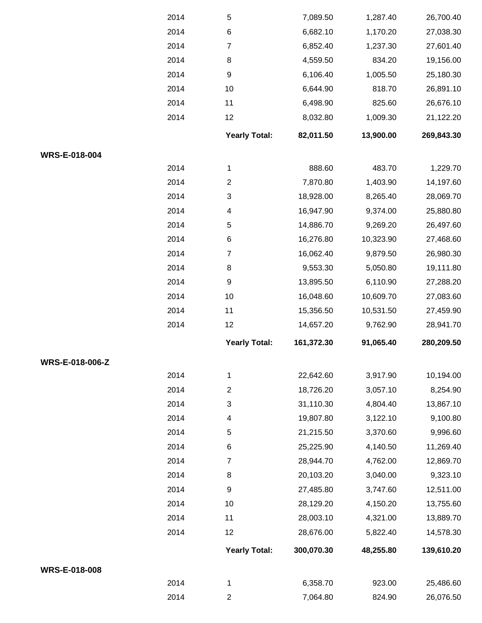|                      | 2014 | 5                         | 7,089.50   | 1,287.40  | 26,700.40  |
|----------------------|------|---------------------------|------------|-----------|------------|
|                      | 2014 | $\,6$                     | 6,682.10   | 1,170.20  | 27,038.30  |
|                      | 2014 | $\overline{7}$            | 6,852.40   | 1,237.30  | 27,601.40  |
|                      | 2014 | 8                         | 4,559.50   | 834.20    | 19,156.00  |
|                      | 2014 | $\boldsymbol{9}$          | 6,106.40   | 1,005.50  | 25,180.30  |
|                      | 2014 | 10                        | 6,644.90   | 818.70    | 26,891.10  |
|                      | 2014 | 11                        | 6,498.90   | 825.60    | 26,676.10  |
|                      | 2014 | 12                        | 8,032.80   | 1,009.30  | 21,122.20  |
|                      |      | <b>Yearly Total:</b>      | 82,011.50  | 13,900.00 | 269,843.30 |
| WRS-E-018-004        |      |                           |            |           |            |
|                      | 2014 | $\mathbf{1}$              | 888.60     | 483.70    | 1,229.70   |
|                      | 2014 | $\overline{2}$            | 7,870.80   | 1,403.90  | 14,197.60  |
|                      | 2014 | $\ensuremath{\mathsf{3}}$ | 18,928.00  | 8,265.40  | 28,069.70  |
|                      | 2014 | 4                         | 16,947.90  | 9,374.00  | 25,880.80  |
|                      | 2014 | 5                         | 14,886.70  | 9,269.20  | 26,497.60  |
|                      | 2014 | 6                         | 16,276.80  | 10,323.90 | 27,468.60  |
|                      | 2014 | $\overline{7}$            | 16,062.40  | 9,879.50  | 26,980.30  |
|                      | 2014 | 8                         | 9,553.30   | 5,050.80  | 19,111.80  |
|                      | 2014 | $\boldsymbol{9}$          | 13,895.50  | 6,110.90  | 27,288.20  |
|                      | 2014 | 10                        | 16,048.60  | 10,609.70 | 27,083.60  |
|                      | 2014 | 11                        | 15,356.50  | 10,531.50 | 27,459.90  |
|                      | 2014 | 12                        | 14,657.20  | 9,762.90  | 28,941.70  |
|                      |      | <b>Yearly Total:</b>      | 161,372.30 | 91,065.40 | 280,209.50 |
| WRS-E-018-006-Z      |      |                           |            |           |            |
|                      | 2014 | $\mathbf{1}$              | 22,642.60  | 3,917.90  | 10,194.00  |
|                      | 2014 | $\overline{2}$            | 18,726.20  | 3,057.10  | 8,254.90   |
|                      | 2014 | $\ensuremath{\mathsf{3}}$ | 31,110.30  | 4,804.40  | 13,867.10  |
|                      | 2014 | 4                         | 19,807.80  | 3,122.10  | 9,100.80   |
|                      | 2014 | 5                         | 21,215.50  | 3,370.60  | 9,996.60   |
|                      | 2014 | 6                         | 25,225.90  | 4,140.50  | 11,269.40  |
|                      | 2014 | $\overline{7}$            | 28,944.70  | 4,762.00  | 12,869.70  |
|                      | 2014 | 8                         | 20,103.20  | 3,040.00  | 9,323.10   |
|                      | 2014 | $\boldsymbol{9}$          | 27,485.80  | 3,747.60  | 12,511.00  |
|                      | 2014 | 10                        | 28,129.20  | 4,150.20  | 13,755.60  |
|                      | 2014 | 11                        | 28,003.10  | 4,321.00  | 13,889.70  |
|                      | 2014 | 12                        | 28,676.00  | 5,822.40  | 14,578.30  |
|                      |      | <b>Yearly Total:</b>      | 300,070.30 | 48,255.80 | 139,610.20 |
| <b>WRS-E-018-008</b> |      |                           |            |           |            |
|                      | 2014 | $\mathbf 1$               | 6,358.70   | 923.00    | 25,486.60  |
|                      | 2014 | $\mathbf{2}$              | 7,064.80   | 824.90    | 26,076.50  |